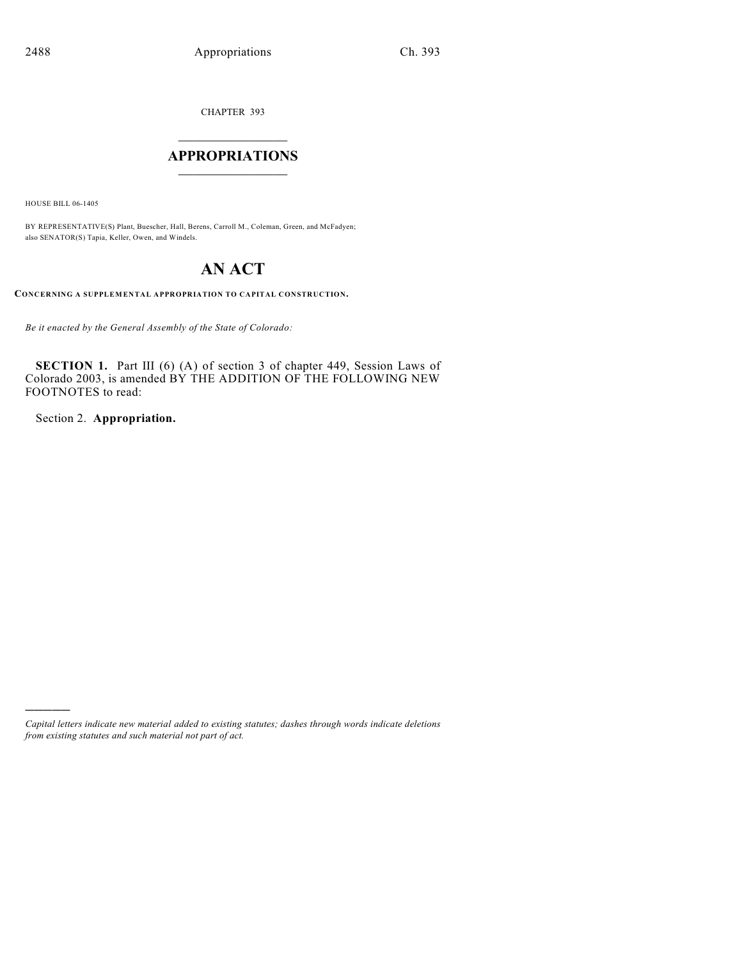CHAPTER 393

## $\overline{\phantom{a}}$  . The set of the set of the set of the set of the set of the set of the set of the set of the set of the set of the set of the set of the set of the set of the set of the set of the set of the set of the set o **APPROPRIATIONS**  $\_$   $\_$   $\_$   $\_$   $\_$   $\_$   $\_$   $\_$

HOUSE BILL 06-1405

)))))

BY REPRESENTATIVE(S) Plant, Buescher, Hall, Berens, Carroll M., Coleman, Green, and McFadyen; also SENATOR(S) Tapia, Keller, Owen, and Windels.

# **AN ACT**

**CONCERNING A SUPPLEMENTAL APPROPRIATION TO CAPITAL CONSTRUCTION.**

*Be it enacted by the General Assembly of the State of Colorado:*

**SECTION 1.** Part III (6) (A) of section 3 of chapter 449, Session Laws of Colorado 2003, is amended BY THE ADDITION OF THE FOLLOWING NEW FOOTNOTES to read:

Section 2. **Appropriation.**

*Capital letters indicate new material added to existing statutes; dashes through words indicate deletions from existing statutes and such material not part of act.*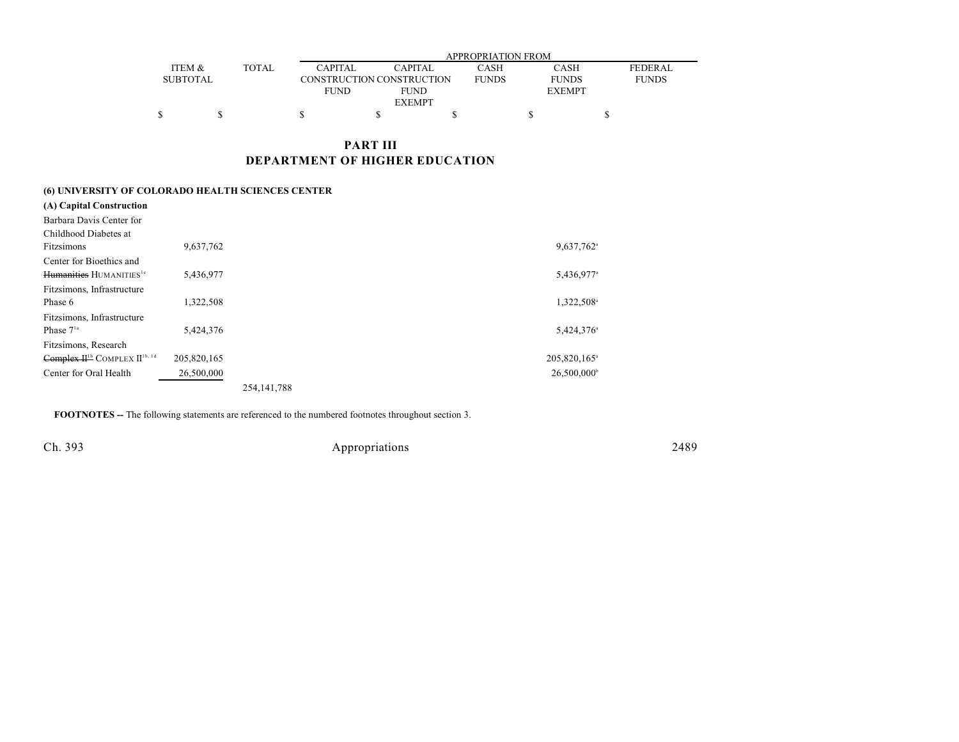|                 |              | APPROPRIATION FROM |                           |              |               |                |  |  |
|-----------------|--------------|--------------------|---------------------------|--------------|---------------|----------------|--|--|
| ITEM &          | <b>TOTAL</b> | <b>CAPITAL</b>     | <b>CAPITAL</b>            | CASH         | <b>CASH</b>   | <b>FEDERAL</b> |  |  |
| <b>SUBTOTAL</b> |              |                    | CONSTRUCTION CONSTRUCTION | <b>FUNDS</b> | <b>FUNDS</b>  | <b>FUNDS</b>   |  |  |
|                 |              | <b>FUND</b>        | <b>FUND</b>               |              | <b>EXEMPT</b> |                |  |  |
| <b>EXEMPT</b>   |              |                    |                           |              |               |                |  |  |
|                 |              |                    |                           |              |               |                |  |  |

### **PART III DEPARTMENT OF HIGHER EDUCATION**

#### **(6) UNIVERSITY OF COLORADO HEALTH SCIENCES CENTER**

| (A) Capital Construction                             |             |               |                           |
|------------------------------------------------------|-------------|---------------|---------------------------|
| Barbara Davis Center for                             |             |               |                           |
| Childhood Diabetes at                                |             |               |                           |
| Fitzsimons                                           | 9,637,762   |               | 9,637,762 <sup>a</sup>    |
| Center for Bioethics and                             |             |               |                           |
| Humanities HUMANITIES <sup>1c</sup>                  | 5,436,977   |               | 5,436,977                 |
| Fitzsimons, Infrastructure                           |             |               |                           |
| Phase 6                                              | 1,322,508   |               | 1,322,508                 |
| Fitzsimons, Infrastructure                           |             |               |                           |
| Phase $71a$                                          | 5,424,376   |               | 5,424,376                 |
| Fitzsimons, Research                                 |             |               |                           |
| Complex H <sup>1b</sup> COMPLEX II <sup>1b, 1d</sup> | 205,820,165 |               | 205,820,165               |
| Center for Oral Health                               | 26,500,000  |               | $26,500,000$ <sup>t</sup> |
|                                                      |             | 254, 141, 788 |                           |
|                                                      |             |               |                           |

**FOOTNOTES --** The following statements are referenced to the numbered footnotes throughout section 3.

Ch. 393 Appropriations 2489